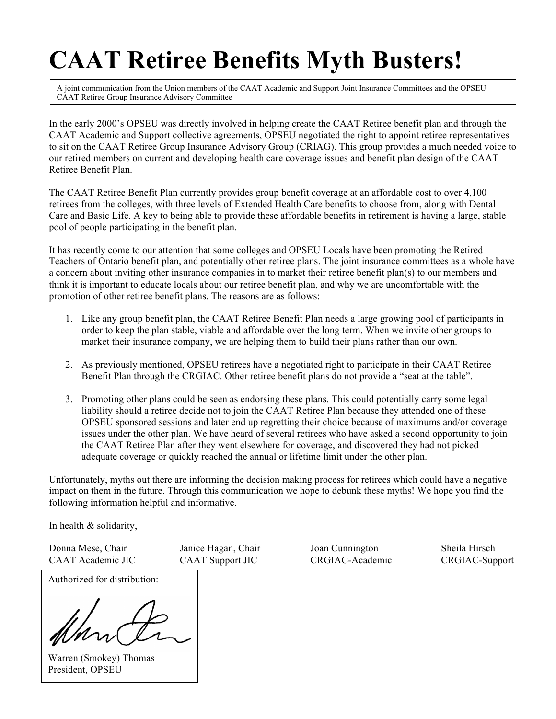# **CAAT Retiree Benefits Myth Busters!**

A joint communication from the Union members of the CAAT Academic and Support Joint Insurance Committees and the OPSEU CAAT Retiree Group Insurance Advisory Committee

In the early 2000's OPSEU was directly involved in helping create the CAAT Retiree benefit plan and through the CAAT Academic and Support collective agreements, OPSEU negotiated the right to appoint retiree representatives to sit on the CAAT Retiree Group Insurance Advisory Group (CRIAG). This group provides a much needed voice to our retired members on current and developing health care coverage issues and benefit plan design of the CAAT Retiree Benefit Plan.

The CAAT Retiree Benefit Plan currently provides group benefit coverage at an affordable cost to over 4,100 retirees from the colleges, with three levels of Extended Health Care benefits to choose from, along with Dental Care and Basic Life. A key to being able to provide these affordable benefits in retirement is having a large, stable pool of people participating in the benefit plan.

It has recently come to our attention that some colleges and OPSEU Locals have been promoting the Retired Teachers of Ontario benefit plan, and potentially other retiree plans. The joint insurance committees as a whole have a concern about inviting other insurance companies in to market their retiree benefit plan(s) to our members and think it is important to educate locals about our retiree benefit plan, and why we are uncomfortable with the promotion of other retiree benefit plans. The reasons are as follows:

- 1. Like any group benefit plan, the CAAT Retiree Benefit Plan needs a large growing pool of participants in order to keep the plan stable, viable and affordable over the long term. When we invite other groups to market their insurance company, we are helping them to build their plans rather than our own.
- 2. As previously mentioned, OPSEU retirees have a negotiated right to participate in their CAAT Retiree Benefit Plan through the CRGIAC. Other retiree benefit plans do not provide a "seat at the table".
- 3. Promoting other plans could be seen as endorsing these plans. This could potentially carry some legal liability should a retiree decide not to join the CAAT Retiree Plan because they attended one of these OPSEU sponsored sessions and later end up regretting their choice because of maximums and/or coverage issues under the other plan. We have heard of several retirees who have asked a second opportunity to join the CAAT Retiree Plan after they went elsewhere for coverage, and discovered they had not picked adequate coverage or quickly reached the annual or lifetime limit under the other plan.

Unfortunately, myths out there are informing the decision making process for retirees which could have a negative impact on them in the future. Through this communication we hope to debunk these myths! We hope you find the following information helpful and informative.

In health & solidarity,

Donna Mese, Chair Janice Hagan, Chair Joan Cunnington Sheila Hirsch CAAT Academic JIC CAAT Support JIC CRGIAC-Academic CRGIAC-Support

Authorized for distribution:

**All retirement benefit plans All retirement benefit plans** 

Warren (Smokey) Thomas President, OPSEU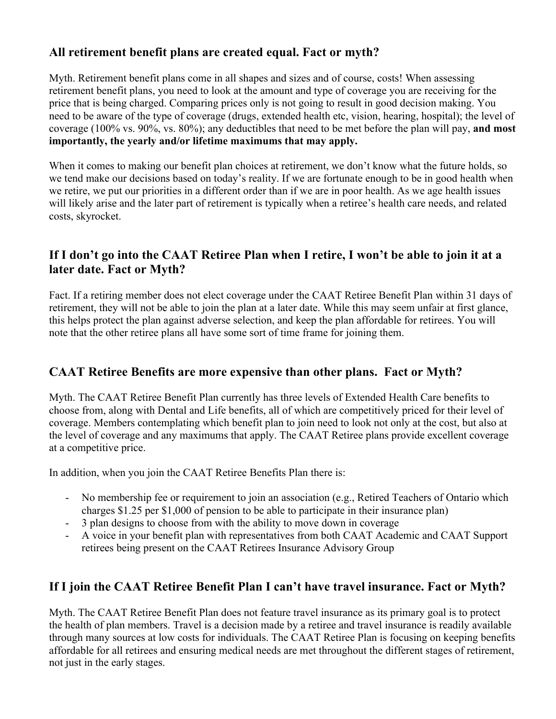# **All retirement benefit plans are created equal. Fact or myth?**

Myth. Retirement benefit plans come in all shapes and sizes and of course, costs! When assessing retirement benefit plans, you need to look at the amount and type of coverage you are receiving for the price that is being charged. Comparing prices only is not going to result in good decision making. You need to be aware of the type of coverage (drugs, extended health etc, vision, hearing, hospital); the level of coverage (100% vs. 90%, vs. 80%); any deductibles that need to be met before the plan will pay, **and most importantly, the yearly and/or lifetime maximums that may apply.** 

When it comes to making our benefit plan choices at retirement, we don't know what the future holds, so we tend make our decisions based on today's reality. If we are fortunate enough to be in good health when we retire, we put our priorities in a different order than if we are in poor health. As we age health issues will likely arise and the later part of retirement is typically when a retiree's health care needs, and related costs, skyrocket.

## **If I don't go into the CAAT Retiree Plan when I retire, I won't be able to join it at a later date. Fact or Myth?**

Fact. If a retiring member does not elect coverage under the CAAT Retiree Benefit Plan within 31 days of retirement, they will not be able to join the plan at a later date. While this may seem unfair at first glance, this helps protect the plan against adverse selection, and keep the plan affordable for retirees. You will note that the other retiree plans all have some sort of time frame for joining them.

#### **CAAT Retiree Benefits are more expensive than other plans. Fact or Myth?**

Myth. The CAAT Retiree Benefit Plan currently has three levels of Extended Health Care benefits to choose from, along with Dental and Life benefits, all of which are competitively priced for their level of coverage. Members contemplating which benefit plan to join need to look not only at the cost, but also at the level of coverage and any maximums that apply. The CAAT Retiree plans provide excellent coverage at a competitive price.

In addition, when you join the CAAT Retiree Benefits Plan there is:

- No membership fee or requirement to join an association (e.g., Retired Teachers of Ontario which charges \$1.25 per \$1,000 of pension to be able to participate in their insurance plan)
- 3 plan designs to choose from with the ability to move down in coverage
- A voice in your benefit plan with representatives from both CAAT Academic and CAAT Support retirees being present on the CAAT Retirees Insurance Advisory Group

#### **If I join the CAAT Retiree Benefit Plan I can't have travel insurance. Fact or Myth?**

Myth. The CAAT Retiree Benefit Plan does not feature travel insurance as its primary goal is to protect the health of plan members. Travel is a decision made by a retiree and travel insurance is readily available through many sources at low costs for individuals. The CAAT Retiree Plan is focusing on keeping benefits affordable for all retirees and ensuring medical needs are met throughout the different stages of retirement, not just in the early stages.